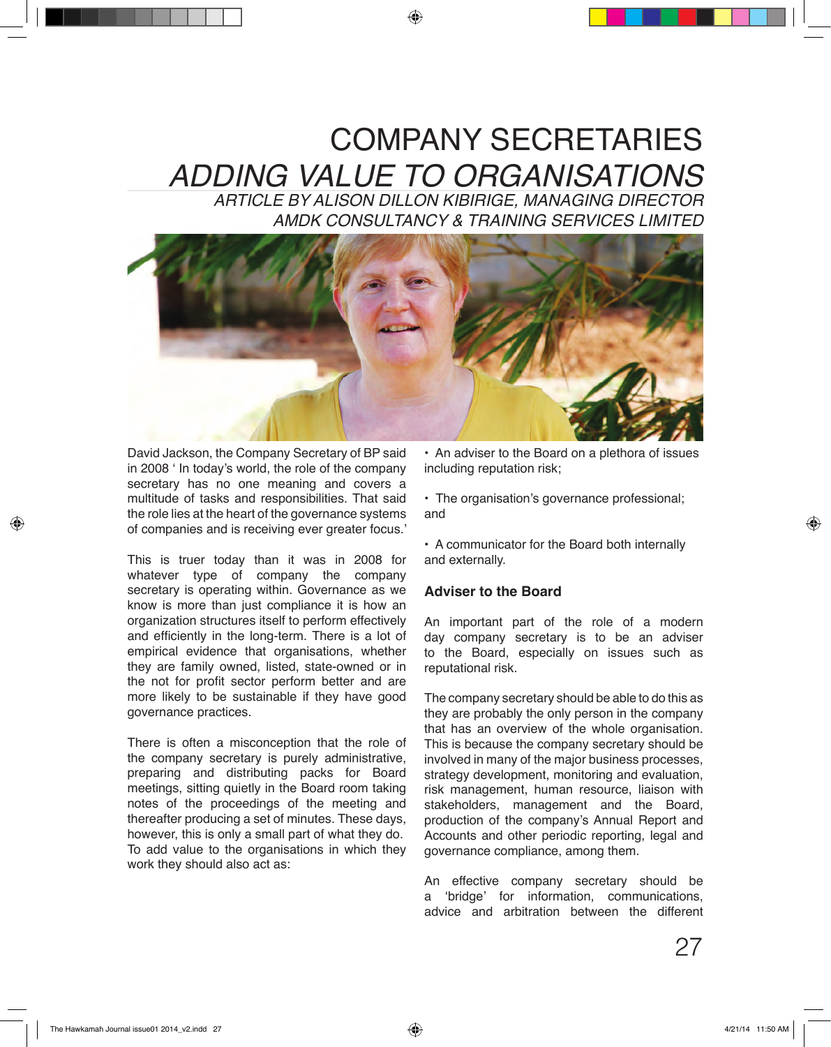# COMPANY SECRETARIES *ADDING VALUE TO ORGANISATIONS*

*ARTICLE BY ALISON DILLON KIBIRIGE, MANAGING DIRECTOR AMDK CONSULTANCY & TRAINING SERVICES LIMITED*



David Jackson, the Company Secretary of BP said in 2008 ' In today's world, the role of the company secretary has no one meaning and covers a multitude of tasks and responsibilities. That said the role lies at the heart of the governance systems of companies and is receiving ever greater focus.'

This is truer today than it was in 2008 for whatever type of company the company secretary is operating within. Governance as we know is more than just compliance it is how an organization structures itself to perform effectively and efficiently in the long-term. There is a lot of empirical evidence that organisations, whether they are family owned, listed, state-owned or in the not for profit sector perform better and are more likely to be sustainable if they have good governance practices.

There is often a misconception that the role of the company secretary is purely administrative, preparing and distributing packs for Board meetings, sitting quietly in the Board room taking notes of the proceedings of the meeting and thereafter producing a set of minutes. These days, however, this is only a small part of what they do. To add value to the organisations in which they work they should also act as:

• An adviser to the Board on a plethora of issues including reputation risk;

• The organisation's governance professional; and

• A communicator for the Board both internally and externally.

#### **Adviser to the Board**

An important part of the role of a modern day company secretary is to be an adviser to the Board, especially on issues such as reputational risk.

The company secretary should be able to do this as they are probably the only person in the company that has an overview of the whole organisation. This is because the company secretary should be involved in many of the major business processes, strategy development, monitoring and evaluation, risk management, human resource, liaison with stakeholders, management and the Board, production of the company's Annual Report and Accounts and other periodic reporting, legal and governance compliance, among them.

An effective company secretary should be a 'bridge' for information, communications, advice and arbitration between the different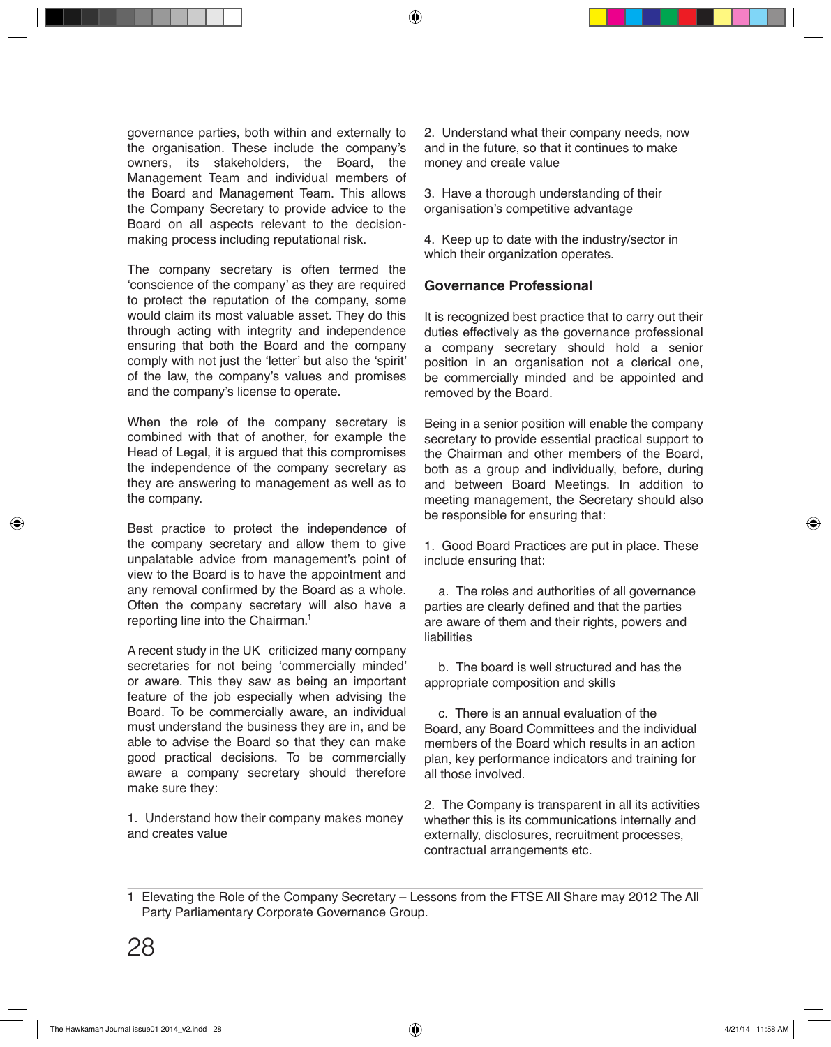governance parties, both within and externally to the organisation. These include the company's owners, its stakeholders, the Board, the Management Team and individual members of the Board and Management Team. This allows the Company Secretary to provide advice to the Board on all aspects relevant to the decisionmaking process including reputational risk.

The company secretary is often termed the 'conscience of the company' as they are required to protect the reputation of the company, some would claim its most valuable asset. They do this through acting with integrity and independence ensuring that both the Board and the company comply with not just the 'letter' but also the 'spirit' of the law, the company's values and promises and the company's license to operate.

When the role of the company secretary is combined with that of another, for example the Head of Legal, it is argued that this compromises the independence of the company secretary as they are answering to management as well as to the company.

Best practice to protect the independence of the company secretary and allow them to give unpalatable advice from management's point of view to the Board is to have the appointment and any removal confirmed by the Board as a whole. Often the company secretary will also have a reporting line into the Chairman. 1

A recent study in the UK criticized many company secretaries for not being 'commercially minded' or aware. This they saw as being an important feature of the job especially when advising the Board. To be commercially aware, an individual must understand the business they are in, and be able to advise the Board so that they can make good practical decisions. To be commercially aware a company secretary should therefore make sure they:

1. Understand how their company makes money and creates value

2. Understand what their company needs, now and in the future, so that it continues to make money and create value

3. Have a thorough understanding of their organisation's competitive advantage

4. Keep up to date with the industry/sector in which their organization operates.

#### **Governance Professional**

It is recognized best practice that to carry out their duties effectively as the governance professional a company secretary should hold a senior position in an organisation not a clerical one, be commercially minded and be appointed and removed by the Board.

Being in a senior position will enable the company secretary to provide essential practical support to the Chairman and other members of the Board, both as a group and individually, before, during and between Board Meetings. In addition to meeting management, the Secretary should also be responsible for ensuring that:

1. Good Board Practices are put in place. These include ensuring that:

 a. The roles and authorities of all governance parties are clearly defined and that the parties are aware of them and their rights, powers and liabilities

 b. The board is well structured and has the appropriate composition and skills

 c. There is an annual evaluation of the Board, any Board Committees and the individual members of the Board which results in an action plan, key performance indicators and training for all those involved.

2. The Company is transparent in all its activities whether this is its communications internally and externally, disclosures, recruitment processes, contractual arrangements etc.

Elevating the Role of the Company Secretary – Lessons from the FTSE All Share may 2012 The All 1 Party Parliamentary Corporate Governance Group.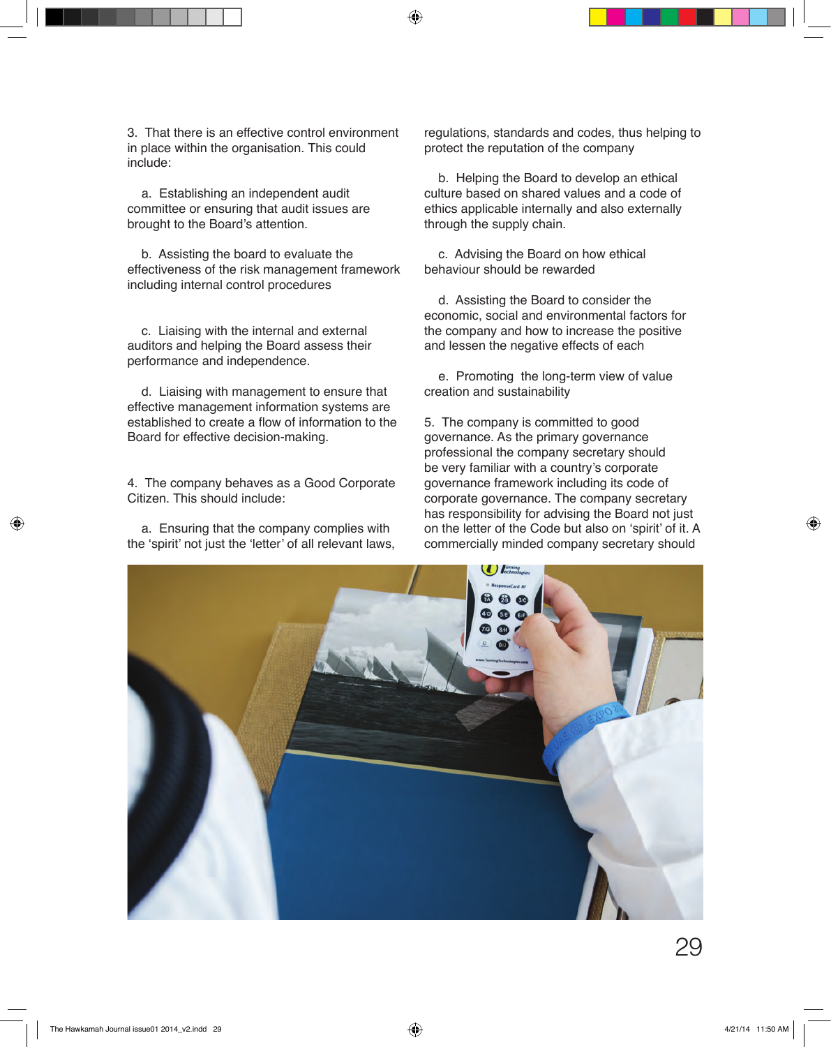3. That there is an effective control environment in place within the organisation. This could include:

 a. Establishing an independent audit committee or ensuring that audit issues are brought to the Board's attention.

 b. Assisting the board to evaluate the effectiveness of the risk management framework including internal control procedures

 c. Liaising with the internal and external auditors and helping the Board assess their performance and independence.

 d. Liaising with management to ensure that effective management information systems are established to create a flow of information to the Board for effective decision-making.

4. The company behaves as a Good Corporate Citizen. This should include:

 a. Ensuring that the company complies with the 'spirit' not just the 'letter' of all relevant laws, regulations, standards and codes, thus helping to protect the reputation of the company

 b. Helping the Board to develop an ethical culture based on shared values and a code of ethics applicable internally and also externally through the supply chain.

 c. Advising the Board on how ethical behaviour should be rewarded

 d. Assisting the Board to consider the economic, social and environmental factors for the company and how to increase the positive and lessen the negative effects of each

 e. Promoting the long-term view of value creation and sustainability

5. The company is committed to good governance. As the primary governance professional the company secretary should be very familiar with a country's corporate governance framework including its code of corporate governance. The company secretary has responsibility for advising the Board not just on the letter of the Code but also on 'spirit' of it. A commercially minded company secretary should